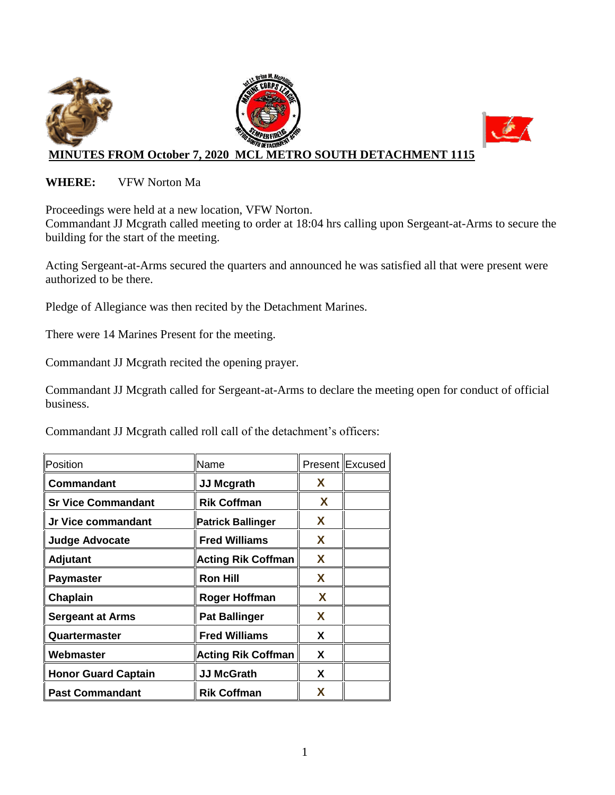

#### **WHERE:** VFW Norton Ma

Proceedings were held at a new location, VFW Norton.

Commandant JJ Mcgrath called meeting to order at 18:04 hrs calling upon Sergeant-at-Arms to secure the building for the start of the meeting.

Acting Sergeant-at-Arms secured the quarters and announced he was satisfied all that were present were authorized to be there.

Pledge of Allegiance was then recited by the Detachment Marines.

There were 14 Marines Present for the meeting.

Commandant JJ Mcgrath recited the opening prayer.

Commandant JJ Mcgrath called for Sergeant-at-Arms to declare the meeting open for conduct of official business.

Commandant JJ Mcgrath called roll call of the detachment's officers:

| Position                   | Name                      |   | Present Excused |
|----------------------------|---------------------------|---|-----------------|
| Commandant                 | <b>JJ Mcgrath</b>         | X |                 |
| <b>Sr Vice Commandant</b>  | <b>Rik Coffman</b>        | X |                 |
| Jr Vice commandant         | <b>Patrick Ballinger</b>  | X |                 |
| <b>Judge Advocate</b>      | <b>Fred Williams</b>      | X |                 |
| <b>Adjutant</b>            | <b>Acting Rik Coffman</b> | X |                 |
| <b>Paymaster</b>           | <b>Ron Hill</b>           | X |                 |
| Chaplain                   | <b>Roger Hoffman</b>      | X |                 |
| <b>Sergeant at Arms</b>    | <b>Pat Ballinger</b>      | X |                 |
| Quartermaster              | <b>Fred Williams</b>      | X |                 |
| Webmaster                  | <b>Acting Rik Coffman</b> | X |                 |
| <b>Honor Guard Captain</b> | <b>JJ McGrath</b>         | X |                 |
| <b>Past Commandant</b>     | <b>Rik Coffman</b>        | X |                 |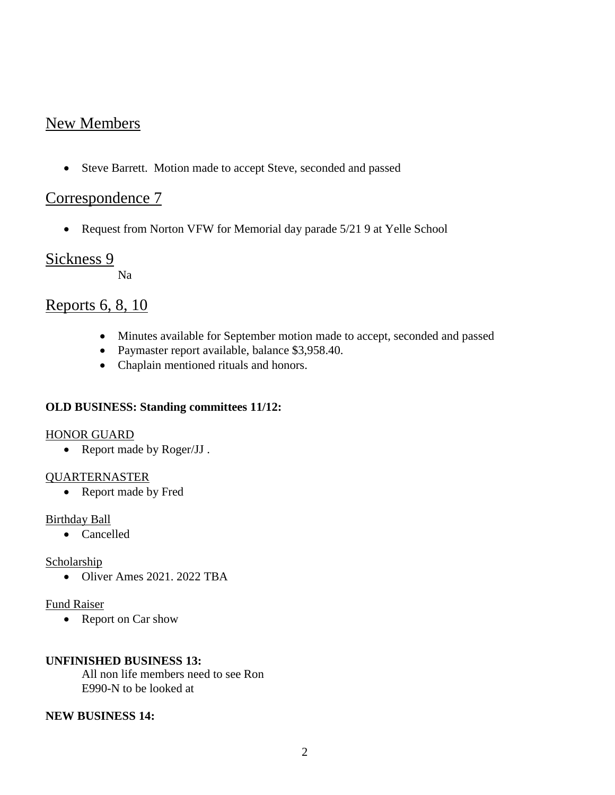## New Members

Steve Barrett. Motion made to accept Steve, seconded and passed

# Correspondence 7

• Request from Norton VFW for Memorial day parade 5/21 9 at Yelle School

### Sickness 9

Na

## Reports 6, 8, 10

- Minutes available for September motion made to accept, seconded and passed
- Paymaster report available, balance \$3,958.40.
- Chaplain mentioned rituals and honors.

#### **OLD BUSINESS: Standing committees 11/12:**

#### HONOR GUARD

• Report made by Roger/JJ.

#### QUARTERNASTER

• Report made by Fred

#### Birthday Ball

• Cancelled

#### Scholarship

• Oliver Ames 2021, 2022 TBA

#### Fund Raiser

• Report on Car show

#### **UNFINISHED BUSINESS 13:**

All non life members need to see Ron E990-N to be looked at

#### **NEW BUSINESS 14:**